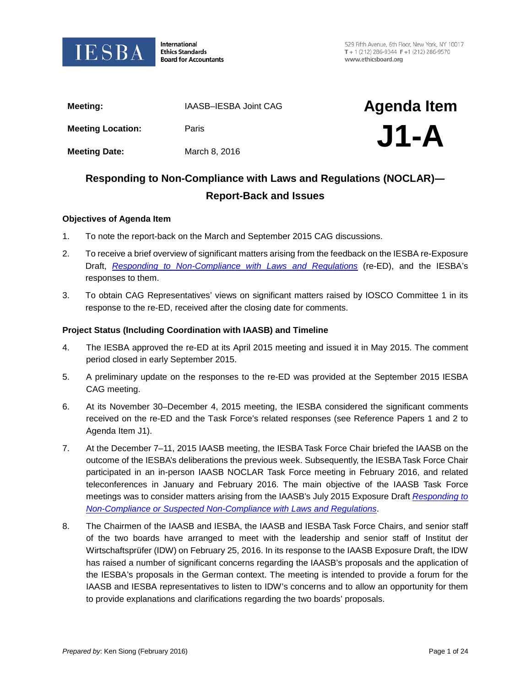

International **Ethics Standards Board for Accountants** 

529 Fifth Avenue, 6th Floor, New York, NY 10017  $T + 1(212)$  286-9344 F + 1 (212) 286-9570 www.ethicsboard.org

| Meeting:                                                         | IAASB-IESBA Joint CAG | <b>Agenda Item</b> |
|------------------------------------------------------------------|-----------------------|--------------------|
| <b>Meeting Location:</b>                                         | Paris                 | $J1-A$             |
| <b>Meeting Date:</b>                                             | March 8, 2016         |                    |
| Responding to Non-Compliance with Laws and Regulations (NOCLAR)— |                       |                    |

# **Responding to Non-Compliance with Laws and Regulations (NOCLAR)― Report-Back and Issues**

#### **Objectives of Agenda Item**

- 1. To note the report-back on the March and September 2015 CAG discussions.
- 2. To receive a brief overview of significant matters arising from the feedback on the IESBA re-Exposure Draft, *[Responding to Non-Compliance with Laws and Regulations](http://www.ifac.org/publications-resources/responding-non-compliance-laws-regulations)* (re-ED), and the IESBA's responses to them.
- 3. To obtain CAG Representatives' views on significant matters raised by IOSCO Committee 1 in its response to the re-ED, received after the closing date for comments.

#### **Project Status (Including Coordination with IAASB) and Timeline**

- 4. The IESBA approved the re-ED at its April 2015 meeting and issued it in May 2015. The comment period closed in early September 2015.
- 5. A preliminary update on the responses to the re-ED was provided at the September 2015 IESBA CAG meeting.
- 6. At its November 30–December 4, 2015 meeting, the IESBA considered the significant comments received on the re-ED and the Task Force's related responses (see Reference Papers 1 and 2 to Agenda Item J1).
- 7. At the December 7–11, 2015 IAASB meeting, the IESBA Task Force Chair briefed the IAASB on the outcome of the IESBA's deliberations the previous week. Subsequently, the IESBA Task Force Chair participated in an in-person IAASB NOCLAR Task Force meeting in February 2016, and related teleconferences in January and February 2016. The main objective of the IAASB Task Force meetings was to consider matters arising from the IAASB's July 2015 Exposure Draft *[Responding to](https://www.ifac.org/publications-resources/responding-non-compliance-or-suspected-non-compliance-laws-and-regulations)  [Non-Compliance or Suspected Non-Compliance with Laws and Regulations](https://www.ifac.org/publications-resources/responding-non-compliance-or-suspected-non-compliance-laws-and-regulations)*.
- 8. The Chairmen of the IAASB and IESBA, the IAASB and IESBA Task Force Chairs, and senior staff of the two boards have arranged to meet with the leadership and senior staff of Institut der Wirtschaftsprüfer (IDW) on February 25, 2016. In its response to the IAASB Exposure Draft, the IDW has raised a number of significant concerns regarding the IAASB's proposals and the application of the IESBA's proposals in the German context. The meeting is intended to provide a forum for the IAASB and IESBA representatives to listen to IDW's concerns and to allow an opportunity for them to provide explanations and clarifications regarding the two boards' proposals.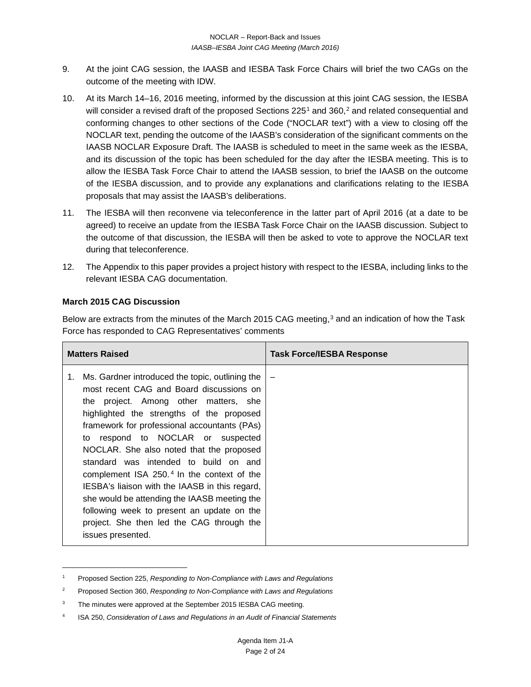- 9. At the joint CAG session, the IAASB and IESBA Task Force Chairs will brief the two CAGs on the outcome of the meeting with IDW.
- 10. At its March 14–16, 2016 meeting, informed by the discussion at this joint CAG session, the IESBA will consider a revised draft of the proposed Sections  $225<sup>1</sup>$  $225<sup>1</sup>$  $225<sup>1</sup>$  and  $360<sup>2</sup>$  $360<sup>2</sup>$  $360<sup>2</sup>$  and related consequential and conforming changes to other sections of the Code ("NOCLAR text") with a view to closing off the NOCLAR text, pending the outcome of the IAASB's consideration of the significant comments on the IAASB NOCLAR Exposure Draft. The IAASB is scheduled to meet in the same week as the IESBA, and its discussion of the topic has been scheduled for the day after the IESBA meeting. This is to allow the IESBA Task Force Chair to attend the IAASB session, to brief the IAASB on the outcome of the IESBA discussion, and to provide any explanations and clarifications relating to the IESBA proposals that may assist the IAASB's deliberations.
- 11. The IESBA will then reconvene via teleconference in the latter part of April 2016 (at a date to be agreed) to receive an update from the IESBA Task Force Chair on the IAASB discussion. Subject to the outcome of that discussion, the IESBA will then be asked to vote to approve the NOCLAR text during that teleconference.
- 12. The Appendix to this paper provides a project history with respect to the IESBA, including links to the relevant IESBA CAG documentation.

## **March 2015 CAG Discussion**

 $\overline{\phantom{a}}$ 

Below are extracts from the minutes of the March 2015 CAG meeting,<sup>[3](#page-1-2)</sup> and an indication of how the Task Force has responded to CAG Representatives' comments

| <b>Matters Raised</b>                                                                                                                                                                                                                                                                                                                                                                                                                                                                                                                                                                                                                         | Task Force/IESBA Response |
|-----------------------------------------------------------------------------------------------------------------------------------------------------------------------------------------------------------------------------------------------------------------------------------------------------------------------------------------------------------------------------------------------------------------------------------------------------------------------------------------------------------------------------------------------------------------------------------------------------------------------------------------------|---------------------------|
| Ms. Gardner introduced the topic, outlining the<br>1.<br>most recent CAG and Board discussions on<br>the project. Among other matters, she<br>highlighted the strengths of the proposed<br>framework for professional accountants (PAs)<br>to respond to NOCLAR or suspected<br>NOCLAR. She also noted that the proposed<br>standard was intended to build on and<br>complement ISA 250. <sup>4</sup> In the context of the<br>IESBA's liaison with the IAASB in this regard,<br>she would be attending the IAASB meeting the<br>following week to present an update on the<br>project. She then led the CAG through the<br>issues presented. |                           |

<span id="page-1-0"></span><sup>1</sup> Proposed Section 225, *Responding to Non-Compliance with Laws and Regulations*

<span id="page-1-1"></span><sup>2</sup> Proposed Section 360, *Responding to Non-Compliance with Laws and Regulations*

<span id="page-1-2"></span><sup>&</sup>lt;sup>3</sup> The minutes were approved at the September 2015 IESBA CAG meeting.

<span id="page-1-3"></span><sup>4</sup> ISA 250, *Consideration of Laws and Regulations in an Audit of Financial Statements*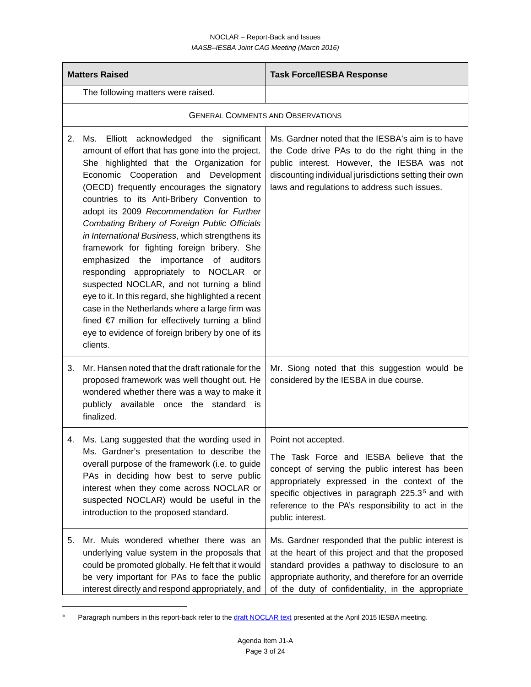#### NOCLAR – Report-Back and Issues *IAASB–IESBA Joint CAG Meeting (March 2016)*

| <b>Matters Raised</b> |                                                                                                                                                                                                                                                                                                                                                                                                                                                                                                                                                                                                                                                                                                                                                                                                                                                     | <b>Task Force/IESBA Response</b>                                                                                                                                                                                                                                                                               |  |
|-----------------------|-----------------------------------------------------------------------------------------------------------------------------------------------------------------------------------------------------------------------------------------------------------------------------------------------------------------------------------------------------------------------------------------------------------------------------------------------------------------------------------------------------------------------------------------------------------------------------------------------------------------------------------------------------------------------------------------------------------------------------------------------------------------------------------------------------------------------------------------------------|----------------------------------------------------------------------------------------------------------------------------------------------------------------------------------------------------------------------------------------------------------------------------------------------------------------|--|
|                       | The following matters were raised.                                                                                                                                                                                                                                                                                                                                                                                                                                                                                                                                                                                                                                                                                                                                                                                                                  |                                                                                                                                                                                                                                                                                                                |  |
|                       | <b>GENERAL COMMENTS AND OBSERVATIONS</b>                                                                                                                                                                                                                                                                                                                                                                                                                                                                                                                                                                                                                                                                                                                                                                                                            |                                                                                                                                                                                                                                                                                                                |  |
| 2.                    | Ms. Elliott acknowledged the significant<br>amount of effort that has gone into the project.<br>She highlighted that the Organization for<br>Economic Cooperation and Development<br>(OECD) frequently encourages the signatory<br>countries to its Anti-Bribery Convention to<br>adopt its 2009 Recommendation for Further<br>Combating Bribery of Foreign Public Officials<br>in International Business, which strengthens its<br>framework for fighting foreign bribery. She<br>emphasized the importance of auditors<br>responding appropriately to NOCLAR or<br>suspected NOCLAR, and not turning a blind<br>eye to it. In this regard, she highlighted a recent<br>case in the Netherlands where a large firm was<br>fined $\epsilon$ million for effectively turning a blind<br>eye to evidence of foreign bribery by one of its<br>clients. | Ms. Gardner noted that the IESBA's aim is to have<br>the Code drive PAs to do the right thing in the<br>public interest. However, the IESBA was not<br>discounting individual jurisdictions setting their own<br>laws and regulations to address such issues.                                                  |  |
| 3.                    | Mr. Hansen noted that the draft rationale for the<br>proposed framework was well thought out. He<br>wondered whether there was a way to make it<br>publicly available once the standard is<br>finalized.                                                                                                                                                                                                                                                                                                                                                                                                                                                                                                                                                                                                                                            | Mr. Siong noted that this suggestion would be<br>considered by the IESBA in due course.                                                                                                                                                                                                                        |  |
| 4.                    | Ms. Lang suggested that the wording used in<br>Ms. Gardner's presentation to describe the<br>overall purpose of the framework (i.e. to guide<br>PAs in deciding how best to serve public<br>interest when they come across NOCLAR or<br>suspected NOCLAR) would be useful in the<br>introduction to the proposed standard.                                                                                                                                                                                                                                                                                                                                                                                                                                                                                                                          | Point not accepted.<br>The Task Force and IESBA believe that the<br>concept of serving the public interest has been<br>appropriately expressed in the context of the<br>specific objectives in paragraph 225.3 <sup>5</sup> and with<br>reference to the PA's responsibility to act in the<br>public interest. |  |
| 5.                    | Mr. Muis wondered whether there was an<br>underlying value system in the proposals that<br>could be promoted globally. He felt that it would<br>be very important for PAs to face the public<br>interest directly and respond appropriately, and                                                                                                                                                                                                                                                                                                                                                                                                                                                                                                                                                                                                    | Ms. Gardner responded that the public interest is<br>at the heart of this project and that the proposed<br>standard provides a pathway to disclosure to an<br>appropriate authority, and therefore for an override<br>of the duty of confidentiality, in the appropriate                                       |  |

<span id="page-2-0"></span><sup>&</sup>lt;sup>5</sup> Paragraph numbers in this report-back refer to the **draft NOCLAR text** presented at the April 2015 IESBA meeting.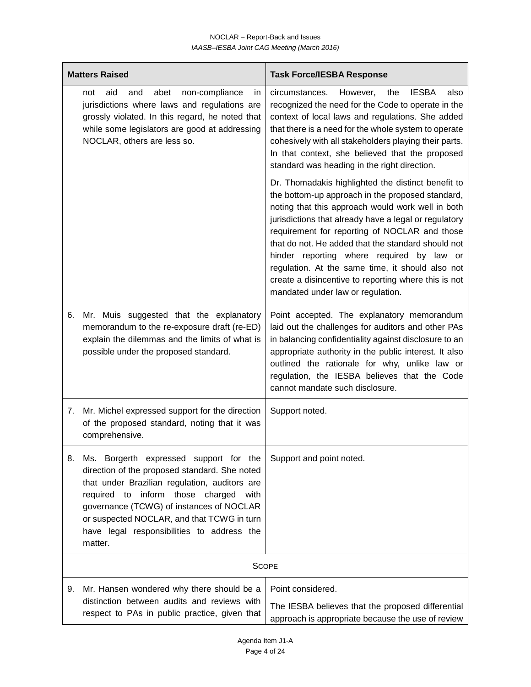|    | <b>Matters Raised</b>                                                                                                                                                                                                                                                                                                                | <b>Task Force/IESBA Response</b>                                                                                                                                                                                                                                                                                                                                                                                                                                                                                          |
|----|--------------------------------------------------------------------------------------------------------------------------------------------------------------------------------------------------------------------------------------------------------------------------------------------------------------------------------------|---------------------------------------------------------------------------------------------------------------------------------------------------------------------------------------------------------------------------------------------------------------------------------------------------------------------------------------------------------------------------------------------------------------------------------------------------------------------------------------------------------------------------|
|    | non-compliance<br>aid<br>abet<br>not<br>and<br>in<br>jurisdictions where laws and regulations are<br>grossly violated. In this regard, he noted that<br>while some legislators are good at addressing<br>NOCLAR, others are less so.                                                                                                 | circumstances.<br>the<br><b>IESBA</b><br>also<br>However,<br>recognized the need for the Code to operate in the<br>context of local laws and regulations. She added<br>that there is a need for the whole system to operate<br>cohesively with all stakeholders playing their parts.<br>In that context, she believed that the proposed<br>standard was heading in the right direction.                                                                                                                                   |
|    |                                                                                                                                                                                                                                                                                                                                      | Dr. Thomadakis highlighted the distinct benefit to<br>the bottom-up approach in the proposed standard,<br>noting that this approach would work well in both<br>jurisdictions that already have a legal or regulatory<br>requirement for reporting of NOCLAR and those<br>that do not. He added that the standard should not<br>hinder reporting where required by law or<br>regulation. At the same time, it should also not<br>create a disincentive to reporting where this is not<br>mandated under law or regulation. |
| 6. | Mr. Muis suggested that the explanatory<br>memorandum to the re-exposure draft (re-ED)<br>explain the dilemmas and the limits of what is<br>possible under the proposed standard.                                                                                                                                                    | Point accepted. The explanatory memorandum<br>laid out the challenges for auditors and other PAs<br>in balancing confidentiality against disclosure to an<br>appropriate authority in the public interest. It also<br>outlined the rationale for why, unlike law or<br>regulation, the IESBA believes that the Code<br>cannot mandate such disclosure.                                                                                                                                                                    |
| 7. | Mr. Michel expressed support for the direction<br>of the proposed standard, noting that it was<br>comprehensive.                                                                                                                                                                                                                     | Support noted.                                                                                                                                                                                                                                                                                                                                                                                                                                                                                                            |
| 8. | Ms. Borgerth expressed support for the<br>direction of the proposed standard. She noted<br>that under Brazilian regulation, auditors are<br>required to inform those charged with<br>governance (TCWG) of instances of NOCLAR<br>or suspected NOCLAR, and that TCWG in turn<br>have legal responsibilities to address the<br>matter. | Support and point noted.                                                                                                                                                                                                                                                                                                                                                                                                                                                                                                  |
|    |                                                                                                                                                                                                                                                                                                                                      | <b>SCOPE</b>                                                                                                                                                                                                                                                                                                                                                                                                                                                                                                              |
| 9. | Mr. Hansen wondered why there should be a<br>distinction between audits and reviews with<br>respect to PAs in public practice, given that                                                                                                                                                                                            | Point considered.<br>The IESBA believes that the proposed differential<br>approach is appropriate because the use of review                                                                                                                                                                                                                                                                                                                                                                                               |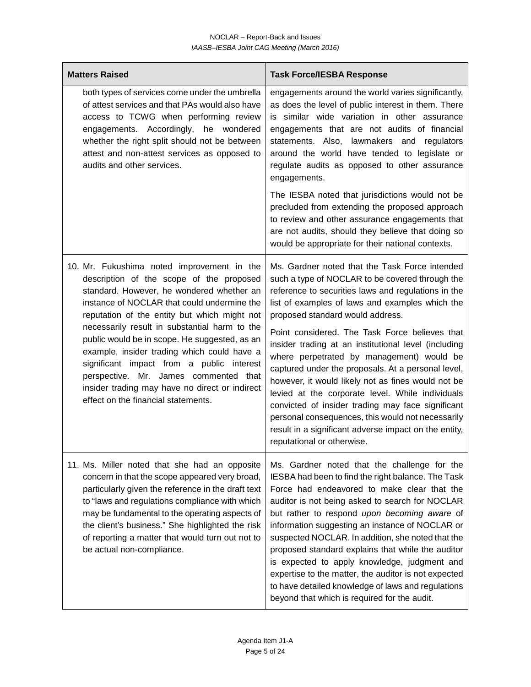| <b>Matters Raised</b>                                                                                                                                                                                                                                                                                                                                                                                                                                                                                                                                              | <b>Task Force/IESBA Response</b>                                                                                                                                                                                                                                                                                                                                                                                                                                                                                                                                                                                                                                                                                                                                        |
|--------------------------------------------------------------------------------------------------------------------------------------------------------------------------------------------------------------------------------------------------------------------------------------------------------------------------------------------------------------------------------------------------------------------------------------------------------------------------------------------------------------------------------------------------------------------|-------------------------------------------------------------------------------------------------------------------------------------------------------------------------------------------------------------------------------------------------------------------------------------------------------------------------------------------------------------------------------------------------------------------------------------------------------------------------------------------------------------------------------------------------------------------------------------------------------------------------------------------------------------------------------------------------------------------------------------------------------------------------|
| both types of services come under the umbrella<br>of attest services and that PAs would also have<br>access to TCWG when performing review<br>engagements. Accordingly,<br>he wondered<br>whether the right split should not be between<br>attest and non-attest services as opposed to<br>audits and other services.                                                                                                                                                                                                                                              | engagements around the world varies significantly,<br>as does the level of public interest in them. There<br>is similar wide variation in other assurance<br>engagements that are not audits of financial<br>statements. Also, lawmakers and regulators<br>around the world have tended to legislate or<br>regulate audits as opposed to other assurance<br>engagements.                                                                                                                                                                                                                                                                                                                                                                                                |
|                                                                                                                                                                                                                                                                                                                                                                                                                                                                                                                                                                    | The IESBA noted that jurisdictions would not be<br>precluded from extending the proposed approach<br>to review and other assurance engagements that<br>are not audits, should they believe that doing so<br>would be appropriate for their national contexts.                                                                                                                                                                                                                                                                                                                                                                                                                                                                                                           |
| 10. Mr. Fukushima noted improvement in the<br>description of the scope of the proposed<br>standard. However, he wondered whether an<br>instance of NOCLAR that could undermine the<br>reputation of the entity but which might not<br>necessarily result in substantial harm to the<br>public would be in scope. He suggested, as an<br>example, insider trading which could have a<br>significant impact from a public interest<br>perspective. Mr. James commented that<br>insider trading may have no direct or indirect<br>effect on the financial statements. | Ms. Gardner noted that the Task Force intended<br>such a type of NOCLAR to be covered through the<br>reference to securities laws and regulations in the<br>list of examples of laws and examples which the<br>proposed standard would address.<br>Point considered. The Task Force believes that<br>insider trading at an institutional level (including<br>where perpetrated by management) would be<br>captured under the proposals. At a personal level,<br>however, it would likely not as fines would not be<br>levied at the corporate level. While individuals<br>convicted of insider trading may face significant<br>personal consequences, this would not necessarily<br>result in a significant adverse impact on the entity,<br>reputational or otherwise. |
| 11. Ms. Miller noted that she had an opposite<br>concern in that the scope appeared very broad,<br>particularly given the reference in the draft text<br>to "laws and regulations compliance with which<br>may be fundamental to the operating aspects of<br>the client's business." She highlighted the risk<br>of reporting a matter that would turn out not to<br>be actual non-compliance.                                                                                                                                                                     | Ms. Gardner noted that the challenge for the<br>IESBA had been to find the right balance. The Task<br>Force had endeavored to make clear that the<br>auditor is not being asked to search for NOCLAR<br>but rather to respond upon becoming aware of<br>information suggesting an instance of NOCLAR or<br>suspected NOCLAR. In addition, she noted that the<br>proposed standard explains that while the auditor<br>is expected to apply knowledge, judgment and<br>expertise to the matter, the auditor is not expected<br>to have detailed knowledge of laws and regulations<br>beyond that which is required for the audit.                                                                                                                                         |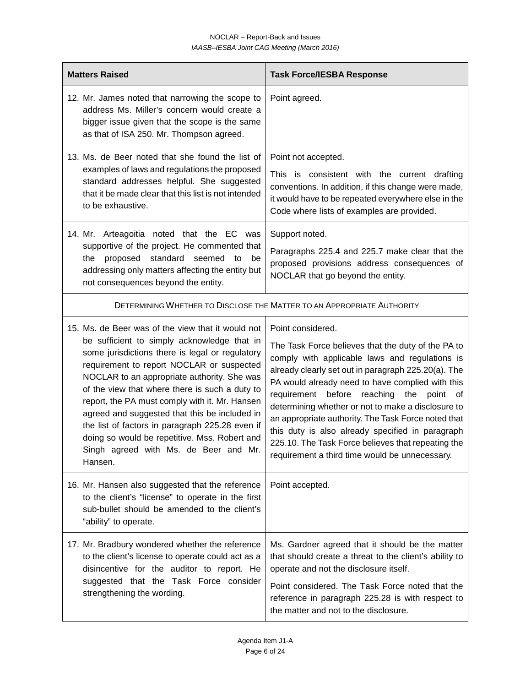| <b>Matters Raised</b>                                                                                                                                                                                                                                                                                                                                                                                                                                                                                                                                        | <b>Task Force/IESBA Response</b>                                                                                                                                                                                                                                                                                                                                                                                                                                                                                                                          |
|--------------------------------------------------------------------------------------------------------------------------------------------------------------------------------------------------------------------------------------------------------------------------------------------------------------------------------------------------------------------------------------------------------------------------------------------------------------------------------------------------------------------------------------------------------------|-----------------------------------------------------------------------------------------------------------------------------------------------------------------------------------------------------------------------------------------------------------------------------------------------------------------------------------------------------------------------------------------------------------------------------------------------------------------------------------------------------------------------------------------------------------|
| 12. Mr. James noted that narrowing the scope to<br>address Ms. Miller's concern would create a<br>bigger issue given that the scope is the same<br>as that of ISA 250. Mr. Thompson agreed.                                                                                                                                                                                                                                                                                                                                                                  | Point agreed.                                                                                                                                                                                                                                                                                                                                                                                                                                                                                                                                             |
| 13. Ms. de Beer noted that she found the list of<br>examples of laws and regulations the proposed<br>standard addresses helpful. She suggested<br>that it be made clear that this list is not intended<br>to be exhaustive.                                                                                                                                                                                                                                                                                                                                  | Point not accepted.<br>This is consistent with the current drafting<br>conventions. In addition, if this change were made,<br>it would have to be repeated everywhere else in the<br>Code where lists of examples are provided.                                                                                                                                                                                                                                                                                                                           |
| 14. Mr. Arteagoitia noted that the EC was<br>supportive of the project. He commented that<br>standard seemed<br>proposed<br>the<br>to<br>be<br>addressing only matters affecting the entity but<br>not consequences beyond the entity.                                                                                                                                                                                                                                                                                                                       | Support noted.<br>Paragraphs 225.4 and 225.7 make clear that the<br>proposed provisions address consequences of<br>NOCLAR that go beyond the entity.                                                                                                                                                                                                                                                                                                                                                                                                      |
|                                                                                                                                                                                                                                                                                                                                                                                                                                                                                                                                                              | DETERMINING WHETHER TO DISCLOSE THE MATTER TO AN APPROPRIATE AUTHORITY                                                                                                                                                                                                                                                                                                                                                                                                                                                                                    |
| 15. Ms. de Beer was of the view that it would not<br>be sufficient to simply acknowledge that in<br>some jurisdictions there is legal or regulatory<br>requirement to report NOCLAR or suspected<br>NOCLAR to an appropriate authority. She was<br>of the view that where there is such a duty to<br>report, the PA must comply with it. Mr. Hansen<br>agreed and suggested that this be included in<br>the list of factors in paragraph 225.28 even if<br>doing so would be repetitive. Mss. Robert and<br>Singh agreed with Ms. de Beer and Mr.<br>Hansen. | Point considered.<br>The Task Force believes that the duty of the PA to<br>comply with applicable laws and regulations is<br>already clearly set out in paragraph 225.20(a). The<br>PA would already need to have complied with this<br>requirement before reaching the point of<br>determining whether or not to make a disclosure to<br>an appropriate authority. The Task Force noted that<br>this duty is also already specified in paragraph<br>225.10. The Task Force believes that repeating the<br>requirement a third time would be unnecessary. |
| 16. Mr. Hansen also suggested that the reference<br>to the client's "license" to operate in the first<br>sub-bullet should be amended to the client's<br>"ability" to operate.                                                                                                                                                                                                                                                                                                                                                                               | Point accepted.                                                                                                                                                                                                                                                                                                                                                                                                                                                                                                                                           |
| 17. Mr. Bradbury wondered whether the reference<br>to the client's license to operate could act as a<br>disincentive for the auditor to report. He<br>suggested that the Task Force consider<br>strengthening the wording.                                                                                                                                                                                                                                                                                                                                   | Ms. Gardner agreed that it should be the matter<br>that should create a threat to the client's ability to<br>operate and not the disclosure itself.<br>Point considered. The Task Force noted that the<br>reference in paragraph 225.28 is with respect to<br>the matter and not to the disclosure.                                                                                                                                                                                                                                                       |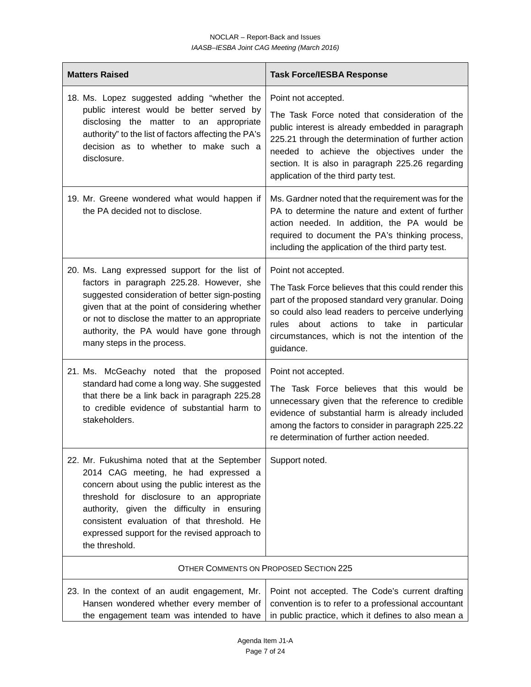| <b>Matters Raised</b>                                                                                                                                                                                                                                                                                                                                  | <b>Task Force/IESBA Response</b>                                                                                                                                                                                                                                                                                           |  |
|--------------------------------------------------------------------------------------------------------------------------------------------------------------------------------------------------------------------------------------------------------------------------------------------------------------------------------------------------------|----------------------------------------------------------------------------------------------------------------------------------------------------------------------------------------------------------------------------------------------------------------------------------------------------------------------------|--|
| 18. Ms. Lopez suggested adding "whether the<br>public interest would be better served by<br>disclosing the matter to an appropriate<br>authority" to the list of factors affecting the PA's<br>decision as to whether to make such a<br>disclosure.                                                                                                    | Point not accepted.<br>The Task Force noted that consideration of the<br>public interest is already embedded in paragraph<br>225.21 through the determination of further action<br>needed to achieve the objectives under the<br>section. It is also in paragraph 225.26 regarding<br>application of the third party test. |  |
| 19. Mr. Greene wondered what would happen if<br>the PA decided not to disclose.                                                                                                                                                                                                                                                                        | Ms. Gardner noted that the requirement was for the<br>PA to determine the nature and extent of further<br>action needed. In addition, the PA would be<br>required to document the PA's thinking process,<br>including the application of the third party test.                                                             |  |
| 20. Ms. Lang expressed support for the list of<br>factors in paragraph 225.28. However, she<br>suggested consideration of better sign-posting<br>given that at the point of considering whether<br>or not to disclose the matter to an appropriate<br>authority, the PA would have gone through<br>many steps in the process.                          | Point not accepted.<br>The Task Force believes that this could render this<br>part of the proposed standard very granular. Doing<br>so could also lead readers to perceive underlying<br>actions to take in<br>rules<br>about<br>particular<br>circumstances, which is not the intention of the<br>guidance.               |  |
| 21. Ms. McGeachy noted that the proposed<br>standard had come a long way. She suggested<br>that there be a link back in paragraph 225.28<br>to credible evidence of substantial harm to<br>stakeholders.                                                                                                                                               | Point not accepted.<br>The Task Force believes that this would be<br>unnecessary given that the reference to credible<br>evidence of substantial harm is already included<br>among the factors to consider in paragraph 225.22<br>re determination of further action needed.                                               |  |
| 22. Mr. Fukushima noted that at the September<br>2014 CAG meeting, he had expressed a<br>concern about using the public interest as the<br>threshold for disclosure to an appropriate<br>authority, given the difficulty in ensuring<br>consistent evaluation of that threshold. He<br>expressed support for the revised approach to<br>the threshold. | Support noted.                                                                                                                                                                                                                                                                                                             |  |
| OTHER COMMENTS ON PROPOSED SECTION 225                                                                                                                                                                                                                                                                                                                 |                                                                                                                                                                                                                                                                                                                            |  |
| 23. In the context of an audit engagement, Mr.<br>Hansen wondered whether every member of<br>the engagement team was intended to have                                                                                                                                                                                                                  | Point not accepted. The Code's current drafting<br>convention is to refer to a professional accountant<br>in public practice, which it defines to also mean a                                                                                                                                                              |  |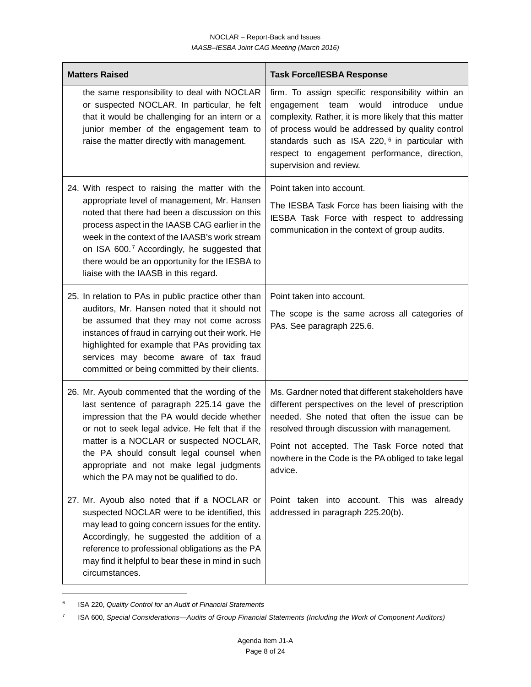| <b>Matters Raised</b> |                                                                                                                                                                                                                                                                                                                                                                                                | <b>Task Force/IESBA Response</b>                                                                                                                                                                                                                                                                                                                            |
|-----------------------|------------------------------------------------------------------------------------------------------------------------------------------------------------------------------------------------------------------------------------------------------------------------------------------------------------------------------------------------------------------------------------------------|-------------------------------------------------------------------------------------------------------------------------------------------------------------------------------------------------------------------------------------------------------------------------------------------------------------------------------------------------------------|
|                       | the same responsibility to deal with NOCLAR<br>or suspected NOCLAR. In particular, he felt<br>that it would be challenging for an intern or a<br>junior member of the engagement team to<br>raise the matter directly with management.                                                                                                                                                         | firm. To assign specific responsibility within an<br>would<br>introduce<br>engagement team<br>undue<br>complexity. Rather, it is more likely that this matter<br>of process would be addressed by quality control<br>standards such as ISA 220, <sup>6</sup> in particular with<br>respect to engagement performance, direction,<br>supervision and review. |
|                       | 24. With respect to raising the matter with the<br>appropriate level of management, Mr. Hansen<br>noted that there had been a discussion on this<br>process aspect in the IAASB CAG earlier in the<br>week in the context of the IAASB's work stream<br>on ISA 600.7 Accordingly, he suggested that<br>there would be an opportunity for the IESBA to<br>liaise with the IAASB in this regard. | Point taken into account.<br>The IESBA Task Force has been liaising with the<br>IESBA Task Force with respect to addressing<br>communication in the context of group audits.                                                                                                                                                                                |
|                       | 25. In relation to PAs in public practice other than<br>auditors, Mr. Hansen noted that it should not<br>be assumed that they may not come across<br>instances of fraud in carrying out their work. He<br>highlighted for example that PAs providing tax<br>services may become aware of tax fraud<br>committed or being committed by their clients.                                           | Point taken into account.<br>The scope is the same across all categories of<br>PAs. See paragraph 225.6.                                                                                                                                                                                                                                                    |
|                       | 26. Mr. Ayoub commented that the wording of the<br>last sentence of paragraph 225.14 gave the<br>impression that the PA would decide whether<br>or not to seek legal advice. He felt that if the<br>matter is a NOCLAR or suspected NOCLAR,<br>the PA should consult legal counsel when<br>appropriate and not make legal judgments<br>which the PA may not be qualified to do.                | Ms. Gardner noted that different stakeholders have<br>different perspectives on the level of prescription<br>needed. She noted that often the issue can be<br>resolved through discussion with management.<br>Point not accepted. The Task Force noted that<br>nowhere in the Code is the PA obliged to take legal<br>advice.                               |
|                       | 27. Mr. Ayoub also noted that if a NOCLAR or<br>suspected NOCLAR were to be identified, this<br>may lead to going concern issues for the entity.<br>Accordingly, he suggested the addition of a<br>reference to professional obligations as the PA<br>may find it helpful to bear these in mind in such<br>circumstances.                                                                      | Point taken into account. This was already<br>addressed in paragraph 225.20(b).                                                                                                                                                                                                                                                                             |

<span id="page-7-0"></span><sup>6</sup> ISA 220, *Quality Control for an Audit of Financial Statements*

<span id="page-7-1"></span><sup>7</sup> ISA 600, *Special Considerations—Audits of Group Financial Statements (Including the Work of Component Auditors)*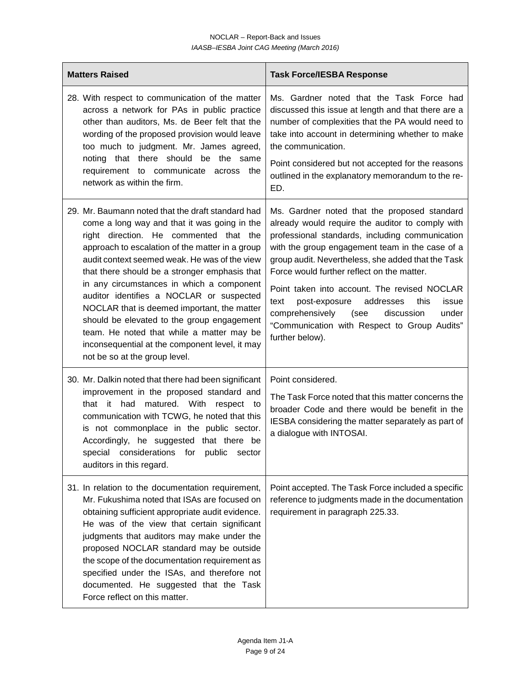| <b>Matters Raised</b>                                                                                                                                                                                                                                                                                                                                                                                                                                                                                                                                                                                                  | <b>Task Force/IESBA Response</b>                                                                                                                                                                                                                                                                                                                                                                                                                                                                                                       |
|------------------------------------------------------------------------------------------------------------------------------------------------------------------------------------------------------------------------------------------------------------------------------------------------------------------------------------------------------------------------------------------------------------------------------------------------------------------------------------------------------------------------------------------------------------------------------------------------------------------------|----------------------------------------------------------------------------------------------------------------------------------------------------------------------------------------------------------------------------------------------------------------------------------------------------------------------------------------------------------------------------------------------------------------------------------------------------------------------------------------------------------------------------------------|
| 28. With respect to communication of the matter<br>across a network for PAs in public practice<br>other than auditors, Ms. de Beer felt that the<br>wording of the proposed provision would leave<br>too much to judgment. Mr. James agreed,<br>noting that there should be the same<br>requirement to communicate<br>across the<br>network as within the firm.                                                                                                                                                                                                                                                        | Ms. Gardner noted that the Task Force had<br>discussed this issue at length and that there are a<br>number of complexities that the PA would need to<br>take into account in determining whether to make<br>the communication.<br>Point considered but not accepted for the reasons<br>outlined in the explanatory memorandum to the re-<br>ED.                                                                                                                                                                                        |
| 29. Mr. Baumann noted that the draft standard had<br>come a long way and that it was going in the<br>right direction. He commented that the<br>approach to escalation of the matter in a group<br>audit context seemed weak. He was of the view<br>that there should be a stronger emphasis that<br>in any circumstances in which a component<br>auditor identifies a NOCLAR or suspected<br>NOCLAR that is deemed important, the matter<br>should be elevated to the group engagement<br>team. He noted that while a matter may be<br>inconsequential at the component level, it may<br>not be so at the group level. | Ms. Gardner noted that the proposed standard<br>already would require the auditor to comply with<br>professional standards, including communication<br>with the group engagement team in the case of a<br>group audit. Nevertheless, she added that the Task<br>Force would further reflect on the matter.<br>Point taken into account. The revised NOCLAR<br>text<br>post-exposure<br>addresses<br>this<br>issue<br>comprehensively<br>(see<br>discussion<br>under<br>"Communication with Respect to Group Audits"<br>further below). |
| 30. Mr. Dalkin noted that there had been significant<br>improvement in the proposed standard and<br>matured. With<br>that it<br>had<br>respect to<br>communication with TCWG, he noted that this<br>is not commonplace in the public sector.<br>Accordingly, he suggested that there be<br>special considerations for public sector<br>auditors in this regard.                                                                                                                                                                                                                                                        | Point considered.<br>The Task Force noted that this matter concerns the<br>broader Code and there would be benefit in the<br>IESBA considering the matter separately as part of<br>a dialogue with INTOSAI.                                                                                                                                                                                                                                                                                                                            |
| 31. In relation to the documentation requirement,<br>Mr. Fukushima noted that ISAs are focused on<br>obtaining sufficient appropriate audit evidence.<br>He was of the view that certain significant<br>judgments that auditors may make under the<br>proposed NOCLAR standard may be outside<br>the scope of the documentation requirement as<br>specified under the ISAs, and therefore not<br>documented. He suggested that the Task<br>Force reflect on this matter.                                                                                                                                               | Point accepted. The Task Force included a specific<br>reference to judgments made in the documentation<br>requirement in paragraph 225.33.                                                                                                                                                                                                                                                                                                                                                                                             |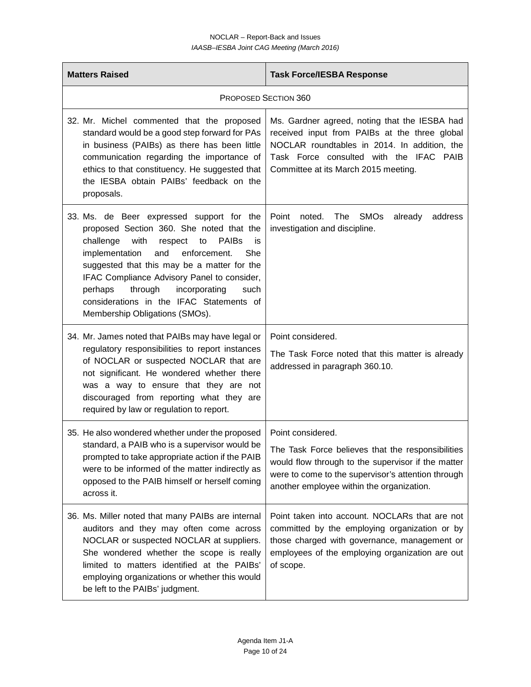| <b>Matters Raised</b>                                                                                                                                                                                                                                                                                                                                                                                                        | <b>Task Force/IESBA Response</b>                                                                                                                                                                                                  |  |
|------------------------------------------------------------------------------------------------------------------------------------------------------------------------------------------------------------------------------------------------------------------------------------------------------------------------------------------------------------------------------------------------------------------------------|-----------------------------------------------------------------------------------------------------------------------------------------------------------------------------------------------------------------------------------|--|
| <b>PROPOSED SECTION 360</b>                                                                                                                                                                                                                                                                                                                                                                                                  |                                                                                                                                                                                                                                   |  |
| 32. Mr. Michel commented that the proposed<br>standard would be a good step forward for PAs<br>in business (PAIBs) as there has been little<br>communication regarding the importance of<br>ethics to that constituency. He suggested that<br>the IESBA obtain PAIBs' feedback on the<br>proposals.                                                                                                                          | Ms. Gardner agreed, noting that the IESBA had<br>received input from PAIBs at the three global<br>NOCLAR roundtables in 2014. In addition, the<br>Task Force consulted with the IFAC PAIB<br>Committee at its March 2015 meeting. |  |
| 33. Ms. de Beer expressed support for the<br>proposed Section 360. She noted that the<br>challenge<br><b>PAIBs</b><br>with<br>respect<br>to<br>is<br>implementation<br>and<br>enforcement.<br>She<br>suggested that this may be a matter for the<br>IFAC Compliance Advisory Panel to consider,<br>through<br>incorporating<br>perhaps<br>such<br>considerations in the IFAC Statements of<br>Membership Obligations (SMOs). | Point<br>noted.<br>The<br><b>SMO<sub>s</sub></b><br>already<br>address<br>investigation and discipline.                                                                                                                           |  |
| 34. Mr. James noted that PAIBs may have legal or<br>regulatory responsibilities to report instances<br>of NOCLAR or suspected NOCLAR that are<br>not significant. He wondered whether there<br>was a way to ensure that they are not<br>discouraged from reporting what they are<br>required by law or regulation to report.                                                                                                 | Point considered.<br>The Task Force noted that this matter is already<br>addressed in paragraph 360.10.                                                                                                                           |  |
| 35. He also wondered whether under the proposed<br>standard, a PAIB who is a supervisor would be<br>prompted to take appropriate action if the PAIB<br>were to be informed of the matter indirectly as<br>opposed to the PAIB himself or herself coming<br>across it.                                                                                                                                                        | Point considered.<br>The Task Force believes that the responsibilities<br>would flow through to the supervisor if the matter<br>were to come to the supervisor's attention through<br>another employee within the organization.   |  |
| 36. Ms. Miller noted that many PAIBs are internal<br>auditors and they may often come across<br>NOCLAR or suspected NOCLAR at suppliers.<br>She wondered whether the scope is really<br>limited to matters identified at the PAIBs'<br>employing organizations or whether this would<br>be left to the PAIBs' judgment.                                                                                                      | Point taken into account. NOCLARs that are not<br>committed by the employing organization or by<br>those charged with governance, management or<br>employees of the employing organization are out<br>of scope.                   |  |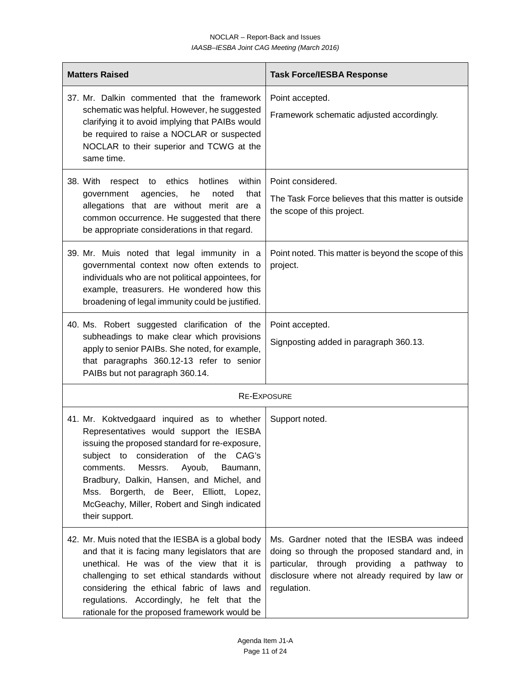| <b>Matters Raised</b>                                                                                                                                                                                                                                                                                                                                                                  | <b>Task Force/IESBA Response</b>                                                                                                                                                                              |  |
|----------------------------------------------------------------------------------------------------------------------------------------------------------------------------------------------------------------------------------------------------------------------------------------------------------------------------------------------------------------------------------------|---------------------------------------------------------------------------------------------------------------------------------------------------------------------------------------------------------------|--|
| 37. Mr. Dalkin commented that the framework<br>schematic was helpful. However, he suggested<br>clarifying it to avoid implying that PAIBs would<br>be required to raise a NOCLAR or suspected<br>NOCLAR to their superior and TCWG at the<br>same time.                                                                                                                                | Point accepted.<br>Framework schematic adjusted accordingly.                                                                                                                                                  |  |
| respect to ethics hotlines<br>within<br>38. With<br>that<br>government<br>agencies,<br>he<br>noted<br>allegations that are without merit are a<br>common occurrence. He suggested that there<br>be appropriate considerations in that regard.                                                                                                                                          | Point considered.<br>The Task Force believes that this matter is outside<br>the scope of this project.                                                                                                        |  |
| 39. Mr. Muis noted that legal immunity in a<br>governmental context now often extends to<br>individuals who are not political appointees, for<br>example, treasurers. He wondered how this<br>broadening of legal immunity could be justified.                                                                                                                                         | Point noted. This matter is beyond the scope of this<br>project.                                                                                                                                              |  |
| 40. Ms. Robert suggested clarification of the<br>subheadings to make clear which provisions<br>apply to senior PAIBs. She noted, for example,<br>that paragraphs 360.12-13 refer to senior<br>PAIBs but not paragraph 360.14.                                                                                                                                                          | Point accepted.<br>Signposting added in paragraph 360.13.                                                                                                                                                     |  |
| <b>RE-EXPOSURE</b>                                                                                                                                                                                                                                                                                                                                                                     |                                                                                                                                                                                                               |  |
| 41. Mr. Koktvedgaard inquired as to whether<br>Representatives would support the IESBA<br>issuing the proposed standard for re-exposure,<br>subject to consideration of the CAG's<br>comments.<br>Messrs.<br>Ayoub, Baumann,<br>Bradbury, Dalkin, Hansen, and Michel, and<br>Mss. Borgerth, de Beer, Elliott, Lopez,<br>McGeachy, Miller, Robert and Singh indicated<br>their support. | Support noted.                                                                                                                                                                                                |  |
| 42. Mr. Muis noted that the IESBA is a global body<br>and that it is facing many legislators that are<br>unethical. He was of the view that it is<br>challenging to set ethical standards without<br>considering the ethical fabric of laws and<br>regulations. Accordingly, he felt that the<br>rationale for the proposed framework would be                                         | Ms. Gardner noted that the IESBA was indeed<br>doing so through the proposed standard and, in<br>particular, through providing a pathway to<br>disclosure where not already required by law or<br>regulation. |  |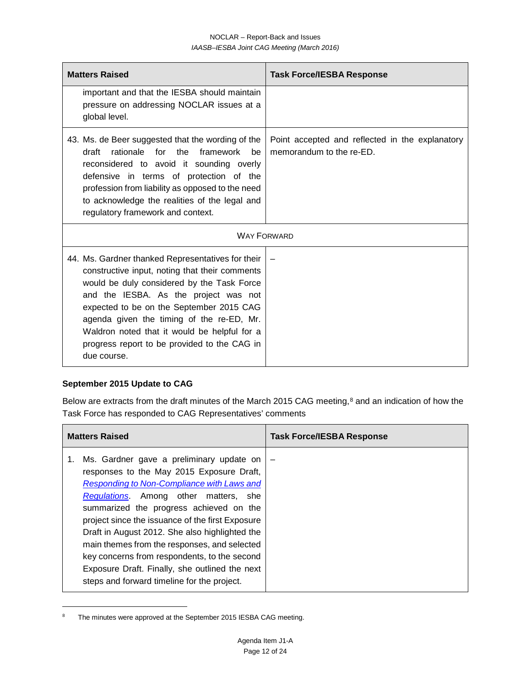| <b>Matters Raised</b>                                                                                                                                                                                                                                                                                                                                                                              | <b>Task Force/IESBA Response</b>                                            |  |
|----------------------------------------------------------------------------------------------------------------------------------------------------------------------------------------------------------------------------------------------------------------------------------------------------------------------------------------------------------------------------------------------------|-----------------------------------------------------------------------------|--|
| important and that the IESBA should maintain<br>pressure on addressing NOCLAR issues at a<br>global level.                                                                                                                                                                                                                                                                                         |                                                                             |  |
| 43. Ms. de Beer suggested that the wording of the<br>rationale for the framework<br>draft<br>he.<br>reconsidered to avoid it sounding overly<br>defensive in terms of protection of the<br>profession from liability as opposed to the need<br>to acknowledge the realities of the legal and<br>regulatory framework and context.                                                                  | Point accepted and reflected in the explanatory<br>memorandum to the re-ED. |  |
| <b>WAY FORWARD</b>                                                                                                                                                                                                                                                                                                                                                                                 |                                                                             |  |
| 44. Ms. Gardner thanked Representatives for their<br>constructive input, noting that their comments<br>would be duly considered by the Task Force<br>and the IESBA. As the project was not<br>expected to be on the September 2015 CAG<br>agenda given the timing of the re-ED, Mr.<br>Waldron noted that it would be helpful for a<br>progress report to be provided to the CAG in<br>due course. |                                                                             |  |

## **September 2015 Update to CAG**

 $\overline{\phantom{a}}$ 

Below are extracts from the draft minutes of the March 2015 CAG meeting,<sup>[8](#page-11-0)</sup> and an indication of how the Task Force has responded to CAG Representatives' comments

| <b>Matters Raised</b>                                                                                                                                                                                                                                                                                                                                                                                                                                                                                                          | <b>Task Force/IESBA Response</b> |
|--------------------------------------------------------------------------------------------------------------------------------------------------------------------------------------------------------------------------------------------------------------------------------------------------------------------------------------------------------------------------------------------------------------------------------------------------------------------------------------------------------------------------------|----------------------------------|
| Ms. Gardner gave a preliminary update on<br>responses to the May 2015 Exposure Draft,<br>Responding to Non-Compliance with Laws and<br>Regulations. Among other matters, she<br>summarized the progress achieved on the<br>project since the issuance of the first Exposure<br>Draft in August 2012. She also highlighted the<br>main themes from the responses, and selected<br>key concerns from respondents, to the second<br>Exposure Draft. Finally, she outlined the next<br>steps and forward timeline for the project. |                                  |

<span id="page-11-0"></span><sup>&</sup>lt;sup>8</sup> The minutes were approved at the September 2015 IESBA CAG meeting.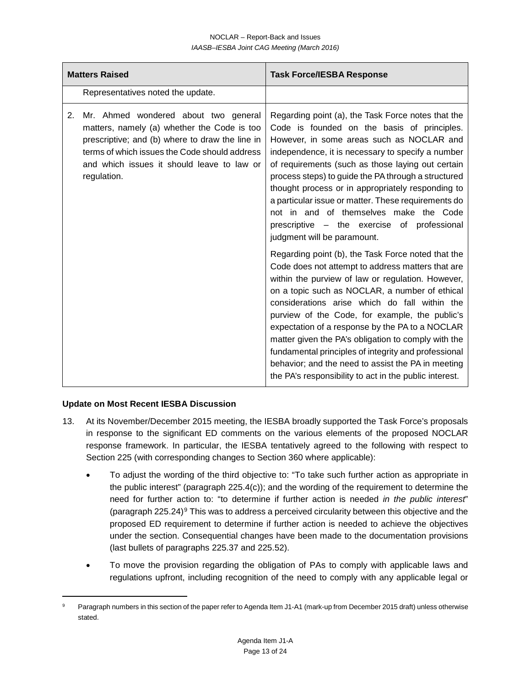| <b>Matters Raised</b>                                                                                                                                                                                                                                      | <b>Task Force/IESBA Response</b>                                                                                                                                                                                                                                                                                                                                                                                                                                                                                                                                                                                                                                                                                                                                                                                                                                                                                                                                                                                                                                                                                                                           |
|------------------------------------------------------------------------------------------------------------------------------------------------------------------------------------------------------------------------------------------------------------|------------------------------------------------------------------------------------------------------------------------------------------------------------------------------------------------------------------------------------------------------------------------------------------------------------------------------------------------------------------------------------------------------------------------------------------------------------------------------------------------------------------------------------------------------------------------------------------------------------------------------------------------------------------------------------------------------------------------------------------------------------------------------------------------------------------------------------------------------------------------------------------------------------------------------------------------------------------------------------------------------------------------------------------------------------------------------------------------------------------------------------------------------------|
| Representatives noted the update.                                                                                                                                                                                                                          |                                                                                                                                                                                                                                                                                                                                                                                                                                                                                                                                                                                                                                                                                                                                                                                                                                                                                                                                                                                                                                                                                                                                                            |
| Mr. Ahmed wondered about two general<br>2.<br>matters, namely (a) whether the Code is too<br>prescriptive; and (b) where to draw the line in<br>terms of which issues the Code should address<br>and which issues it should leave to law or<br>regulation. | Regarding point (a), the Task Force notes that the<br>Code is founded on the basis of principles.<br>However, in some areas such as NOCLAR and<br>independence, it is necessary to specify a number<br>of requirements (such as those laying out certain<br>process steps) to guide the PA through a structured<br>thought process or in appropriately responding to<br>a particular issue or matter. These requirements do<br>not in and of themselves make the Code<br>prescriptive – the exercise of professional<br>judgment will be paramount.<br>Regarding point (b), the Task Force noted that the<br>Code does not attempt to address matters that are<br>within the purview of law or regulation. However,<br>on a topic such as NOCLAR, a number of ethical<br>considerations arise which do fall within the<br>purview of the Code, for example, the public's<br>expectation of a response by the PA to a NOCLAR<br>matter given the PA's obligation to comply with the<br>fundamental principles of integrity and professional<br>behavior; and the need to assist the PA in meeting<br>the PA's responsibility to act in the public interest. |

# **Update on Most Recent IESBA Discussion**

- 13. At its November/December 2015 meeting, the IESBA broadly supported the Task Force's proposals in response to the significant ED comments on the various elements of the proposed NOCLAR response framework. In particular, the IESBA tentatively agreed to the following with respect to Section 225 (with corresponding changes to Section 360 where applicable):
	- To adjust the wording of the third objective to: "To take such further action as appropriate in the public interest" (paragraph 225.4(c)); and the wording of the requirement to determine the need for further action to: "to determine if further action is needed *in the public interest*" (paragraph 225.24)<sup>[9](#page-12-0)</sup> This was to address a perceived circularity between this objective and the proposed ED requirement to determine if further action is needed to achieve the objectives under the section. Consequential changes have been made to the documentation provisions (last bullets of paragraphs 225.37 and 225.52).
	- To move the provision regarding the obligation of PAs to comply with applicable laws and regulations upfront, including recognition of the need to comply with any applicable legal or

<span id="page-12-0"></span>Paragraph numbers in this section of the paper refer to Agenda Item J1-A1 (mark-up from December 2015 draft) unless otherwise stated.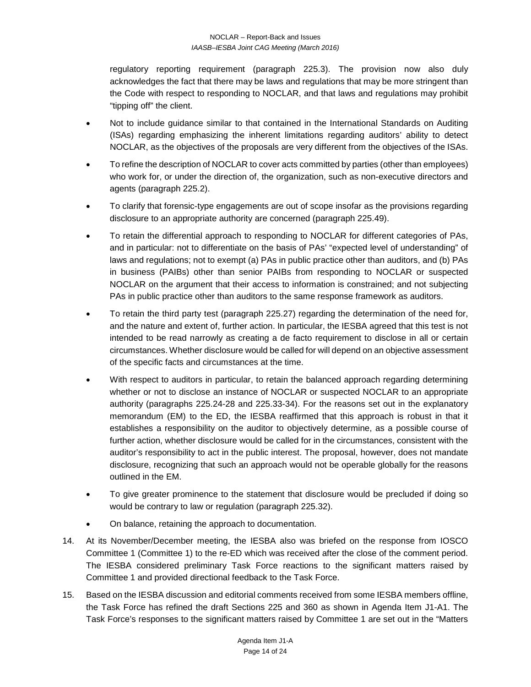regulatory reporting requirement (paragraph 225.3). The provision now also duly acknowledges the fact that there may be laws and regulations that may be more stringent than the Code with respect to responding to NOCLAR, and that laws and regulations may prohibit "tipping off" the client.

- Not to include guidance similar to that contained in the International Standards on Auditing (ISAs) regarding emphasizing the inherent limitations regarding auditors' ability to detect NOCLAR, as the objectives of the proposals are very different from the objectives of the ISAs.
- To refine the description of NOCLAR to cover acts committed by parties (other than employees) who work for, or under the direction of, the organization, such as non-executive directors and agents (paragraph 225.2).
- To clarify that forensic-type engagements are out of scope insofar as the provisions regarding disclosure to an appropriate authority are concerned (paragraph 225.49).
- To retain the differential approach to responding to NOCLAR for different categories of PAs, and in particular: not to differentiate on the basis of PAs' "expected level of understanding" of laws and regulations; not to exempt (a) PAs in public practice other than auditors, and (b) PAs in business (PAIBs) other than senior PAIBs from responding to NOCLAR or suspected NOCLAR on the argument that their access to information is constrained; and not subjecting PAs in public practice other than auditors to the same response framework as auditors.
- To retain the third party test (paragraph 225.27) regarding the determination of the need for, and the nature and extent of, further action. In particular, the IESBA agreed that this test is not intended to be read narrowly as creating a de facto requirement to disclose in all or certain circumstances. Whether disclosure would be called for will depend on an objective assessment of the specific facts and circumstances at the time.
- With respect to auditors in particular, to retain the balanced approach regarding determining whether or not to disclose an instance of NOCLAR or suspected NOCLAR to an appropriate authority (paragraphs 225.24-28 and 225.33-34). For the reasons set out in the explanatory memorandum (EM) to the ED, the IESBA reaffirmed that this approach is robust in that it establishes a responsibility on the auditor to objectively determine, as a possible course of further action, whether disclosure would be called for in the circumstances, consistent with the auditor's responsibility to act in the public interest. The proposal, however, does not mandate disclosure, recognizing that such an approach would not be operable globally for the reasons outlined in the EM.
- To give greater prominence to the statement that disclosure would be precluded if doing so would be contrary to law or regulation (paragraph 225.32).
- On balance, retaining the approach to documentation.
- 14. At its November/December meeting, the IESBA also was briefed on the response from IOSCO Committee 1 (Committee 1) to the re-ED which was received after the close of the comment period. The IESBA considered preliminary Task Force reactions to the significant matters raised by Committee 1 and provided directional feedback to the Task Force.
- 15. Based on the IESBA discussion and editorial comments received from some IESBA members offline, the Task Force has refined the draft Sections 225 and 360 as shown in Agenda Item J1-A1. The Task Force's responses to the significant matters raised by Committee 1 are set out in the "Matters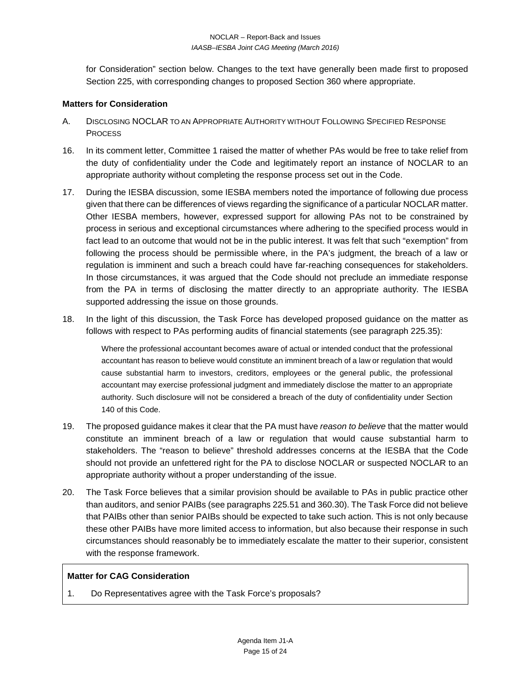for Consideration" section below. Changes to the text have generally been made first to proposed Section 225, with corresponding changes to proposed Section 360 where appropriate.

#### **Matters for Consideration**

- A. DISCLOSING NOCLAR TO AN APPROPRIATE AUTHORITY WITHOUT FOLLOWING SPECIFIED RESPONSE **PROCESS**
- 16. In its comment letter, Committee 1 raised the matter of whether PAs would be free to take relief from the duty of confidentiality under the Code and legitimately report an instance of NOCLAR to an appropriate authority without completing the response process set out in the Code.
- 17. During the IESBA discussion, some IESBA members noted the importance of following due process given that there can be differences of views regarding the significance of a particular NOCLAR matter. Other IESBA members, however, expressed support for allowing PAs not to be constrained by process in serious and exceptional circumstances where adhering to the specified process would in fact lead to an outcome that would not be in the public interest. It was felt that such "exemption" from following the process should be permissible where, in the PA's judgment, the breach of a law or regulation is imminent and such a breach could have far-reaching consequences for stakeholders. In those circumstances, it was argued that the Code should not preclude an immediate response from the PA in terms of disclosing the matter directly to an appropriate authority. The IESBA supported addressing the issue on those grounds.
- 18. In the light of this discussion, the Task Force has developed proposed guidance on the matter as follows with respect to PAs performing audits of financial statements (see paragraph 225.35):

Where the professional accountant becomes aware of actual or intended conduct that the professional accountant has reason to believe would constitute an imminent breach of a law or regulation that would cause substantial harm to investors, creditors, employees or the general public, the professional accountant may exercise professional judgment and immediately disclose the matter to an appropriate authority. Such disclosure will not be considered a breach of the duty of confidentiality under Section 140 of this Code.

- 19. The proposed guidance makes it clear that the PA must have *reason to believe* that the matter would constitute an imminent breach of a law or regulation that would cause substantial harm to stakeholders. The "reason to believe" threshold addresses concerns at the IESBA that the Code should not provide an unfettered right for the PA to disclose NOCLAR or suspected NOCLAR to an appropriate authority without a proper understanding of the issue.
- 20. The Task Force believes that a similar provision should be available to PAs in public practice other than auditors, and senior PAIBs (see paragraphs 225.51 and 360.30). The Task Force did not believe that PAIBs other than senior PAIBs should be expected to take such action. This is not only because these other PAIBs have more limited access to information, but also because their response in such circumstances should reasonably be to immediately escalate the matter to their superior, consistent with the response framework.

#### **Matter for CAG Consideration**

1. Do Representatives agree with the Task Force's proposals?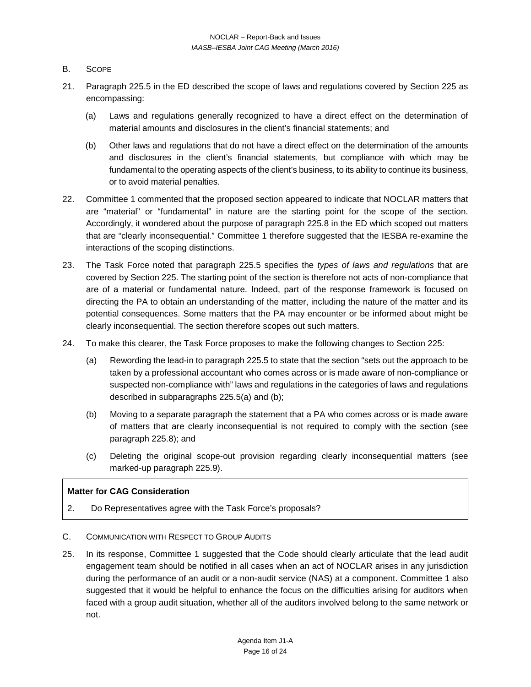- B. SCOPE
- 21. Paragraph 225.5 in the ED described the scope of laws and regulations covered by Section 225 as encompassing:
	- (a) Laws and regulations generally recognized to have a direct effect on the determination of material amounts and disclosures in the client's financial statements; and
	- (b) Other laws and regulations that do not have a direct effect on the determination of the amounts and disclosures in the client's financial statements, but compliance with which may be fundamental to the operating aspects of the client's business, to its ability to continue its business, or to avoid material penalties.
- 22. Committee 1 commented that the proposed section appeared to indicate that NOCLAR matters that are "material" or "fundamental" in nature are the starting point for the scope of the section. Accordingly, it wondered about the purpose of paragraph 225.8 in the ED which scoped out matters that are "clearly inconsequential." Committee 1 therefore suggested that the IESBA re-examine the interactions of the scoping distinctions.
- 23. The Task Force noted that paragraph 225.5 specifies the *types of laws and regulations* that are covered by Section 225. The starting point of the section is therefore not acts of non-compliance that are of a material or fundamental nature. Indeed, part of the response framework is focused on directing the PA to obtain an understanding of the matter, including the nature of the matter and its potential consequences. Some matters that the PA may encounter or be informed about might be clearly inconsequential. The section therefore scopes out such matters.
- 24. To make this clearer, the Task Force proposes to make the following changes to Section 225:
	- (a) Rewording the lead-in to paragraph 225.5 to state that the section "sets out the approach to be taken by a professional accountant who comes across or is made aware of non-compliance or suspected non-compliance with" laws and regulations in the categories of laws and regulations described in subparagraphs 225.5(a) and (b);
	- (b) Moving to a separate paragraph the statement that a PA who comes across or is made aware of matters that are clearly inconsequential is not required to comply with the section (see paragraph 225.8); and
	- (c) Deleting the original scope-out provision regarding clearly inconsequential matters (see marked-up paragraph 225.9).

## **Matter for CAG Consideration**

- 2. Do Representatives agree with the Task Force's proposals?
- C. COMMUNICATION WITH RESPECT TO GROUP AUDITS
- 25. In its response, Committee 1 suggested that the Code should clearly articulate that the lead audit engagement team should be notified in all cases when an act of NOCLAR arises in any jurisdiction during the performance of an audit or a non-audit service (NAS) at a component. Committee 1 also suggested that it would be helpful to enhance the focus on the difficulties arising for auditors when faced with a group audit situation, whether all of the auditors involved belong to the same network or not.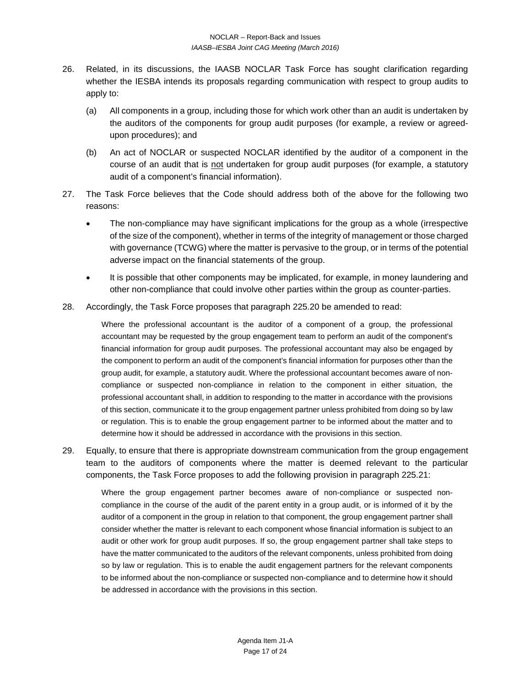- 26. Related, in its discussions, the IAASB NOCLAR Task Force has sought clarification regarding whether the IESBA intends its proposals regarding communication with respect to group audits to apply to:
	- (a) All components in a group, including those for which work other than an audit is undertaken by the auditors of the components for group audit purposes (for example, a review or agreedupon procedures); and
	- (b) An act of NOCLAR or suspected NOCLAR identified by the auditor of a component in the course of an audit that is not undertaken for group audit purposes (for example, a statutory audit of a component's financial information).
- 27. The Task Force believes that the Code should address both of the above for the following two reasons:
	- The non-compliance may have significant implications for the group as a whole (irrespective of the size of the component), whether in terms of the integrity of management or those charged with governance (TCWG) where the matter is pervasive to the group, or in terms of the potential adverse impact on the financial statements of the group.
	- It is possible that other components may be implicated, for example, in money laundering and other non-compliance that could involve other parties within the group as counter-parties.
- 28. Accordingly, the Task Force proposes that paragraph 225.20 be amended to read:

Where the professional accountant is the auditor of a component of a group, the professional accountant may be requested by the group engagement team to perform an audit of the component's financial information for group audit purposes. The professional accountant may also be engaged by the component to perform an audit of the component's financial information for purposes other than the group audit, for example, a statutory audit. Where the professional accountant becomes aware of noncompliance or suspected non-compliance in relation to the component in either situation, the professional accountant shall, in addition to responding to the matter in accordance with the provisions of this section, communicate it to the group engagement partner unless prohibited from doing so by law or regulation. This is to enable the group engagement partner to be informed about the matter and to determine how it should be addressed in accordance with the provisions in this section.

29. Equally, to ensure that there is appropriate downstream communication from the group engagement team to the auditors of components where the matter is deemed relevant to the particular components, the Task Force proposes to add the following provision in paragraph 225.21:

Where the group engagement partner becomes aware of non-compliance or suspected noncompliance in the course of the audit of the parent entity in a group audit, or is informed of it by the auditor of a component in the group in relation to that component, the group engagement partner shall consider whether the matter is relevant to each component whose financial information is subject to an audit or other work for group audit purposes. If so, the group engagement partner shall take steps to have the matter communicated to the auditors of the relevant components, unless prohibited from doing so by law or regulation. This is to enable the audit engagement partners for the relevant components to be informed about the non-compliance or suspected non-compliance and to determine how it should be addressed in accordance with the provisions in this section.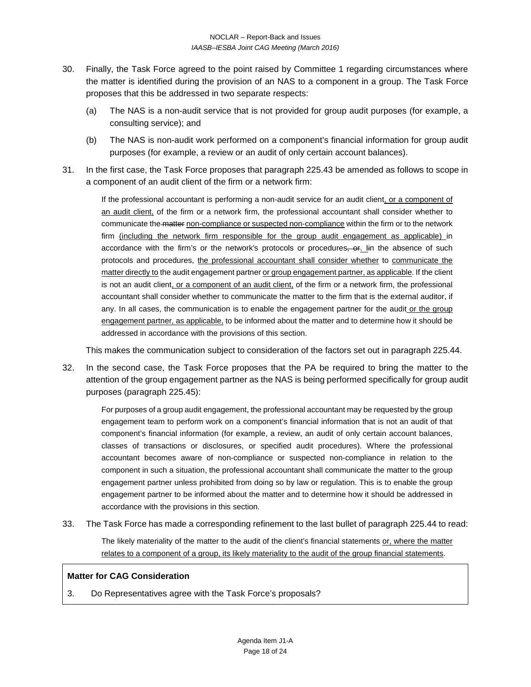- 30. Finally, the Task Force agreed to the point raised by Committee 1 regarding circumstances where the matter is identified during the provision of an NAS to a component in a group. The Task Force proposes that this be addressed in two separate respects:
	- (a) The NAS is a non-audit service that is not provided for group audit purposes (for example, a consulting service); and
	- (b) The NAS is non-audit work performed on a component's financial information for group audit purposes (for example, a review or an audit of only certain account balances).
- 31. In the first case, the Task Force proposes that paragraph 225.43 be amended as follows to scope in a component of an audit client of the firm or a network firm:

If the professional accountant is performing a non-audit service for an audit client, or a component of an audit client, of the firm or a network firm, the professional accountant shall consider whether to communicate the matter non-compliance or suspected non-compliance within the firm or to the network firm (including the network firm responsible for the group audit engagement as applicable) in accordance with the firm's or the network's protocols or procedures, or. In the absence of such protocols and procedures, the professional accountant shall consider whether to communicate the matter directly to the audit engagement partner or group engagement partner, as applicable. If the client is not an audit client, or a component of an audit client, of the firm or a network firm, the professional accountant shall consider whether to communicate the matter to the firm that is the external auditor, if any. In all cases, the communication is to enable the engagement partner for the audit or the group engagement partner, as applicable, to be informed about the matter and to determine how it should be addressed in accordance with the provisions of this section.

This makes the communication subject to consideration of the factors set out in paragraph 225.44.

32. In the second case, the Task Force proposes that the PA be required to bring the matter to the attention of the group engagement partner as the NAS is being performed specifically for group audit purposes (paragraph 225.45):

For purposes of a group audit engagement, the professional accountant may be requested by the group engagement team to perform work on a component's financial information that is not an audit of that component's financial information (for example, a review, an audit of only certain account balances, classes of transactions or disclosures, or specified audit procedures). Where the professional accountant becomes aware of non-compliance or suspected non-compliance in relation to the component in such a situation, the professional accountant shall communicate the matter to the group engagement partner unless prohibited from doing so by law or regulation. This is to enable the group engagement partner to be informed about the matter and to determine how it should be addressed in accordance with the provisions in this section.

33. The Task Force has made a corresponding refinement to the last bullet of paragraph 225.44 to read:

The likely materiality of the matter to the audit of the client's financial statements or, where the matter relates to a component of a group, its likely materiality to the audit of the group financial statements.

## **Matter for CAG Consideration**

3. Do Representatives agree with the Task Force's proposals?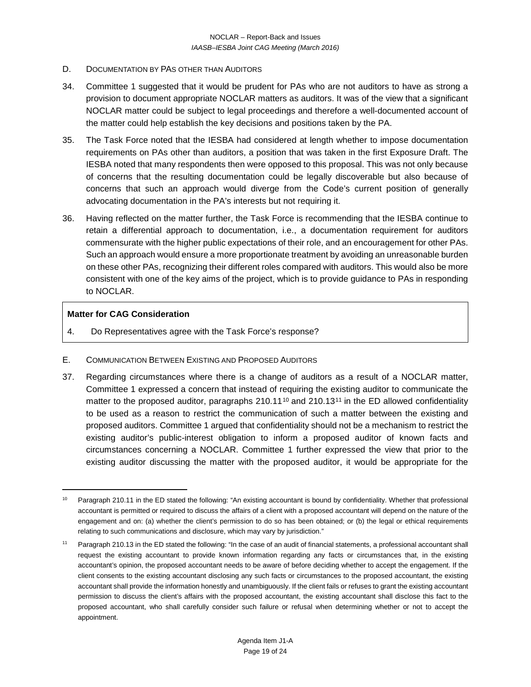- D. DOCUMENTATION BY PAS OTHER THAN AUDITORS
- 34. Committee 1 suggested that it would be prudent for PAs who are not auditors to have as strong a provision to document appropriate NOCLAR matters as auditors. It was of the view that a significant NOCLAR matter could be subject to legal proceedings and therefore a well-documented account of the matter could help establish the key decisions and positions taken by the PA.
- 35. The Task Force noted that the IESBA had considered at length whether to impose documentation requirements on PAs other than auditors, a position that was taken in the first Exposure Draft. The IESBA noted that many respondents then were opposed to this proposal. This was not only because of concerns that the resulting documentation could be legally discoverable but also because of concerns that such an approach would diverge from the Code's current position of generally advocating documentation in the PA's interests but not requiring it.
- 36. Having reflected on the matter further, the Task Force is recommending that the IESBA continue to retain a differential approach to documentation, i.e., a documentation requirement for auditors commensurate with the higher public expectations of their role, and an encouragement for other PAs. Such an approach would ensure a more proportionate treatment by avoiding an unreasonable burden on these other PAs, recognizing their different roles compared with auditors. This would also be more consistent with one of the key aims of the project, which is to provide guidance to PAs in responding to NOCLAR.

## **Matter for CAG Consideration**

- 4. Do Representatives agree with the Task Force's response?
- E. COMMUNICATION BETWEEN EXISTING AND PROPOSED AUDITORS
- 37. Regarding circumstances where there is a change of auditors as a result of a NOCLAR matter, Committee 1 expressed a concern that instead of requiring the existing auditor to communicate the matter to the proposed auditor, paragraphs  $210.11^{10}$  $210.11^{10}$  $210.11^{10}$  $210.11^{10}$  $210.11^{10}$  and  $210.13^{11}$  in the ED allowed confidentiality to be used as a reason to restrict the communication of such a matter between the existing and proposed auditors. Committee 1 argued that confidentiality should not be a mechanism to restrict the existing auditor's public-interest obligation to inform a proposed auditor of known facts and circumstances concerning a NOCLAR. Committee 1 further expressed the view that prior to the existing auditor discussing the matter with the proposed auditor, it would be appropriate for the

<span id="page-18-0"></span>Paragraph 210.11 in the ED stated the following: "An existing accountant is bound by confidentiality. Whether that professional accountant is permitted or required to discuss the affairs of a client with a proposed accountant will depend on the nature of the engagement and on: (a) whether the client's permission to do so has been obtained; or (b) the legal or ethical requirements relating to such communications and disclosure, which may vary by jurisdiction."

<span id="page-18-1"></span><sup>11</sup> Paragraph 210.13 in the ED stated the following: "In the case of an audit of financial statements, a professional accountant shall request the existing accountant to provide known information regarding any facts or circumstances that, in the existing accountant's opinion, the proposed accountant needs to be aware of before deciding whether to accept the engagement. If the client consents to the existing accountant disclosing any such facts or circumstances to the proposed accountant, the existing accountant shall provide the information honestly and unambiguously. If the client fails or refuses to grant the existing accountant permission to discuss the client's affairs with the proposed accountant, the existing accountant shall disclose this fact to the proposed accountant, who shall carefully consider such failure or refusal when determining whether or not to accept the appointment.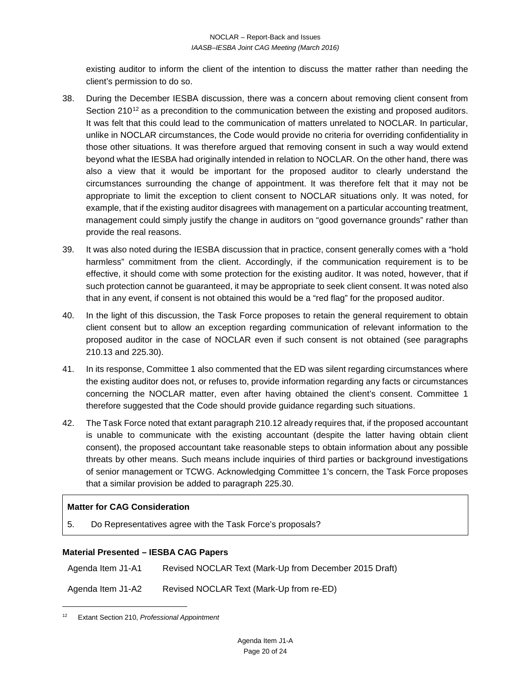existing auditor to inform the client of the intention to discuss the matter rather than needing the client's permission to do so.

- 38. During the December IESBA discussion, there was a concern about removing client consent from Section 210<sup>[12](#page-19-0)</sup> as a precondition to the communication between the existing and proposed auditors. It was felt that this could lead to the communication of matters unrelated to NOCLAR. In particular, unlike in NOCLAR circumstances, the Code would provide no criteria for overriding confidentiality in those other situations. It was therefore argued that removing consent in such a way would extend beyond what the IESBA had originally intended in relation to NOCLAR. On the other hand, there was also a view that it would be important for the proposed auditor to clearly understand the circumstances surrounding the change of appointment. It was therefore felt that it may not be appropriate to limit the exception to client consent to NOCLAR situations only. It was noted, for example, that if the existing auditor disagrees with management on a particular accounting treatment, management could simply justify the change in auditors on "good governance grounds" rather than provide the real reasons.
- 39. It was also noted during the IESBA discussion that in practice, consent generally comes with a "hold harmless" commitment from the client. Accordingly, if the communication requirement is to be effective, it should come with some protection for the existing auditor. It was noted, however, that if such protection cannot be guaranteed, it may be appropriate to seek client consent. It was noted also that in any event, if consent is not obtained this would be a "red flag" for the proposed auditor.
- 40. In the light of this discussion, the Task Force proposes to retain the general requirement to obtain client consent but to allow an exception regarding communication of relevant information to the proposed auditor in the case of NOCLAR even if such consent is not obtained (see paragraphs 210.13 and 225.30).
- 41. In its response, Committee 1 also commented that the ED was silent regarding circumstances where the existing auditor does not, or refuses to, provide information regarding any facts or circumstances concerning the NOCLAR matter, even after having obtained the client's consent. Committee 1 therefore suggested that the Code should provide guidance regarding such situations.
- 42. The Task Force noted that extant paragraph 210.12 already requires that, if the proposed accountant is unable to communicate with the existing accountant (despite the latter having obtain client consent), the proposed accountant take reasonable steps to obtain information about any possible threats by other means. Such means include inquiries of third parties or background investigations of senior management or TCWG. Acknowledging Committee 1's concern, the Task Force proposes that a similar provision be added to paragraph 225.30.

# **Matter for CAG Consideration**

5. Do Representatives agree with the Task Force's proposals?

## **Material Presented – IESBA CAG Papers**

Agenda Item J1-A1 Revised NOCLAR Text (Mark-Up from December 2015 Draft)

Agenda Item J1-A2 Revised NOCLAR Text (Mark-Up from re-ED)

<span id="page-19-0"></span><sup>12</sup> Extant Section 210, *Professional Appointment*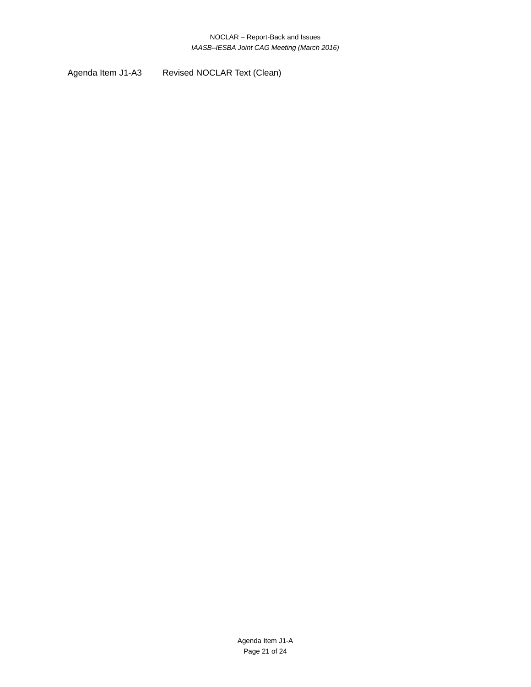Agenda Item J1-A3 Revised NOCLAR Text (Clean)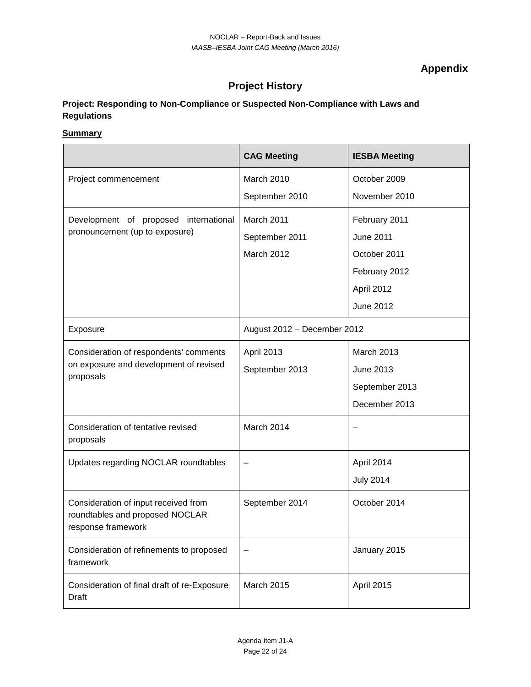**Appendix**

# **Project History**

# **Project: Responding to Non-Compliance or Suspected Non-Compliance with Laws and Regulations**

## **Summary**

|                                                                                               | <b>CAG Meeting</b>          | <b>IESBA Meeting</b> |
|-----------------------------------------------------------------------------------------------|-----------------------------|----------------------|
| Project commencement                                                                          | March 2010                  | October 2009         |
|                                                                                               | September 2010              | November 2010        |
| Development of proposed international                                                         | March 2011                  | February 2011        |
| pronouncement (up to exposure)                                                                | September 2011              | <b>June 2011</b>     |
|                                                                                               | March 2012                  | October 2011         |
|                                                                                               |                             | February 2012        |
|                                                                                               |                             | April 2012           |
|                                                                                               |                             | June 2012            |
| Exposure                                                                                      | August 2012 - December 2012 |                      |
| Consideration of respondents' comments                                                        | April 2013                  | March 2013           |
| on exposure and development of revised<br>proposals                                           | September 2013              | June 2013            |
|                                                                                               |                             | September 2013       |
|                                                                                               |                             | December 2013        |
| Consideration of tentative revised<br>proposals                                               | March 2014                  |                      |
| Updates regarding NOCLAR roundtables                                                          |                             | April 2014           |
|                                                                                               |                             | <b>July 2014</b>     |
| Consideration of input received from<br>roundtables and proposed NOCLAR<br>response framework | September 2014              | October 2014         |
| Consideration of refinements to proposed<br>framework                                         |                             | January 2015         |
| Consideration of final draft of re-Exposure<br><b>Draft</b>                                   | March 2015                  | April 2015           |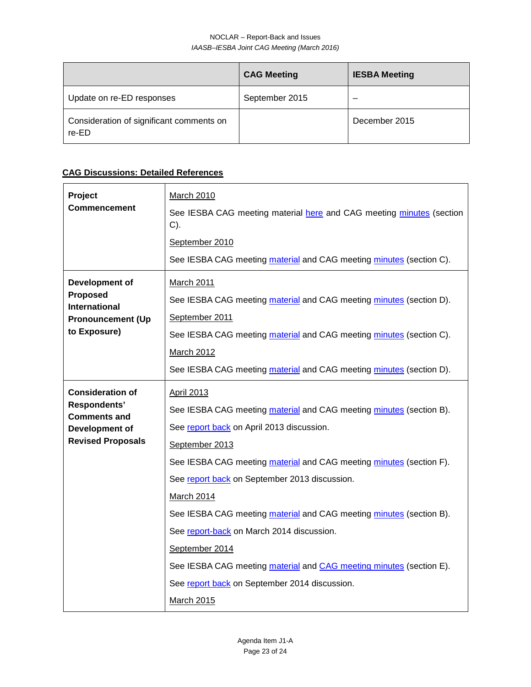#### NOCLAR – Report-Back and Issues *IAASB–IESBA Joint CAG Meeting (March 2016)*

|                                                   | <b>CAG Meeting</b> | <b>IESBA Meeting</b> |
|---------------------------------------------------|--------------------|----------------------|
| Update on re-ED responses                         | September 2015     |                      |
| Consideration of significant comments on<br>re-ED |                    | December 2015        |

# **CAG Discussions: Detailed References**

| Project<br>Commencement                                                                                      | <b>March 2010</b><br>See IESBA CAG meeting material here and CAG meeting minutes (section<br>$C$ ).<br>September 2010<br>See IESBA CAG meeting material and CAG meeting minutes (section C).                                                                                                                                                                                                                                                                                                                                                                                     |
|--------------------------------------------------------------------------------------------------------------|----------------------------------------------------------------------------------------------------------------------------------------------------------------------------------------------------------------------------------------------------------------------------------------------------------------------------------------------------------------------------------------------------------------------------------------------------------------------------------------------------------------------------------------------------------------------------------|
| Development of<br>Proposed<br>International<br><b>Pronouncement (Up</b><br>to Exposure)                      | <b>March 2011</b><br>See IESBA CAG meeting material and CAG meeting minutes (section D).<br>September 2011<br>See IESBA CAG meeting material and CAG meeting minutes (section C).<br>March 2012<br>See IESBA CAG meeting material and CAG meeting minutes (section D).                                                                                                                                                                                                                                                                                                           |
| <b>Consideration of</b><br>Respondents'<br><b>Comments and</b><br>Development of<br><b>Revised Proposals</b> | <b>April 2013</b><br>See IESBA CAG meeting material and CAG meeting minutes (section B).<br>See report back on April 2013 discussion.<br>September 2013<br>See IESBA CAG meeting material and CAG meeting minutes (section F).<br>See report back on September 2013 discussion.<br>March 2014<br>See IESBA CAG meeting material and CAG meeting minutes (section B).<br>See report-back on March 2014 discussion.<br>September 2014<br>See IESBA CAG meeting material and CAG meeting minutes (section E).<br>See report back on September 2014 discussion.<br><b>March 2015</b> |